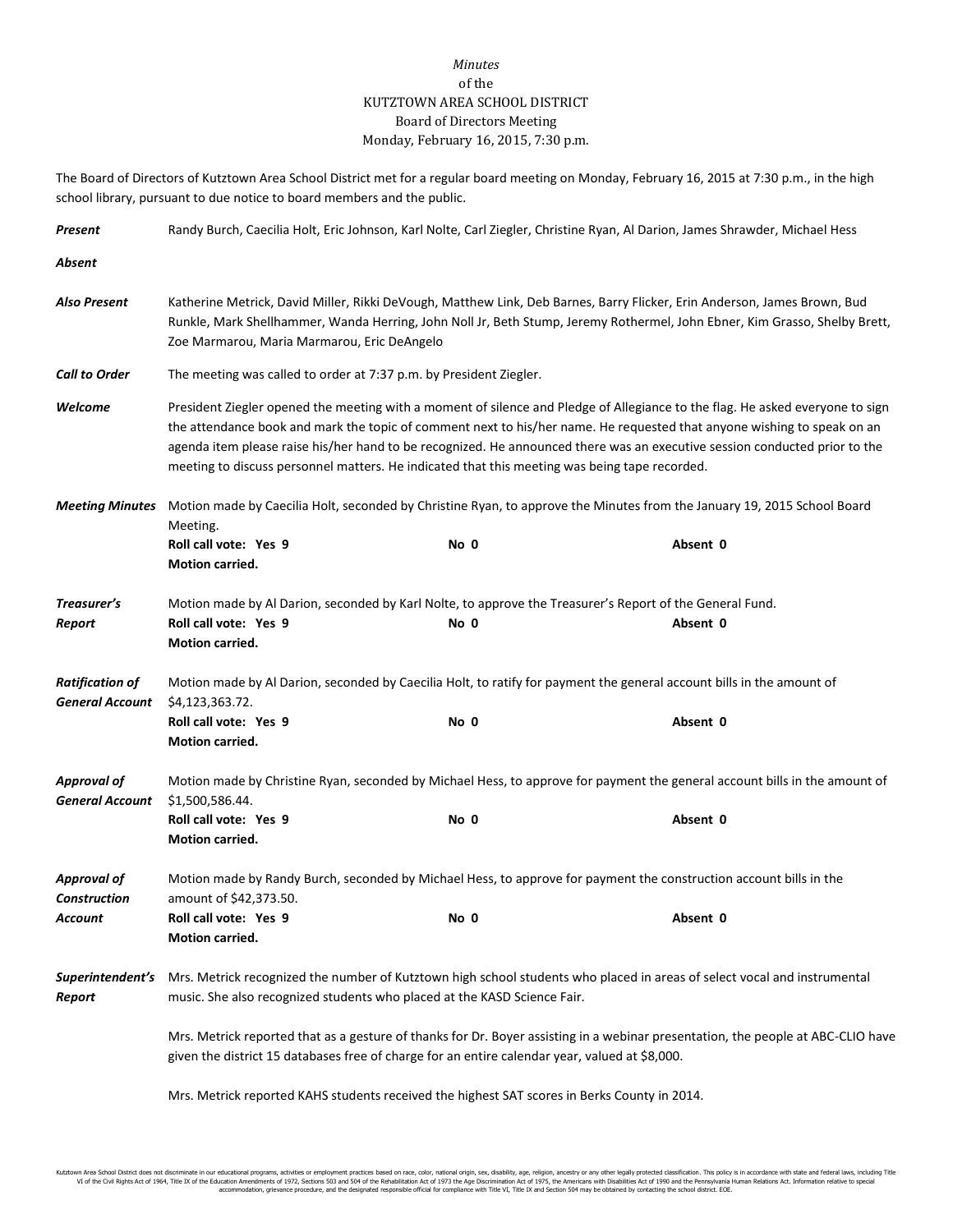## *Minutes* of the KUTZTOWN AREA SCHOOL DISTRICT Board of Directors Meeting Monday, February 16, 2015, 7:30 p.m.

The Board of Directors of Kutztown Area School District met for a regular board meeting on Monday, February 16, 2015 at 7:30 p.m., in the high school library, pursuant to due notice to board members and the public.

| Present                                          | Randy Burch, Caecilia Holt, Eric Johnson, Karl Nolte, Carl Ziegler, Christine Ryan, Al Darion, James Shrawder, Michael Hess                                                                                                                                                                                                                                                                                                                                                             |                                                                                                                  |          |  |  |
|--------------------------------------------------|-----------------------------------------------------------------------------------------------------------------------------------------------------------------------------------------------------------------------------------------------------------------------------------------------------------------------------------------------------------------------------------------------------------------------------------------------------------------------------------------|------------------------------------------------------------------------------------------------------------------|----------|--|--|
| Absent                                           |                                                                                                                                                                                                                                                                                                                                                                                                                                                                                         |                                                                                                                  |          |  |  |
| Also Present                                     | Katherine Metrick, David Miller, Rikki DeVough, Matthew Link, Deb Barnes, Barry Flicker, Erin Anderson, James Brown, Bud<br>Runkle, Mark Shellhammer, Wanda Herring, John Noll Jr, Beth Stump, Jeremy Rothermel, John Ebner, Kim Grasso, Shelby Brett,<br>Zoe Marmarou, Maria Marmarou, Eric DeAngelo                                                                                                                                                                                   |                                                                                                                  |          |  |  |
| <b>Call to Order</b>                             | The meeting was called to order at 7:37 p.m. by President Ziegler.                                                                                                                                                                                                                                                                                                                                                                                                                      |                                                                                                                  |          |  |  |
| Welcome                                          | President Ziegler opened the meeting with a moment of silence and Pledge of Allegiance to the flag. He asked everyone to sign<br>the attendance book and mark the topic of comment next to his/her name. He requested that anyone wishing to speak on an<br>agenda item please raise his/her hand to be recognized. He announced there was an executive session conducted prior to the<br>meeting to discuss personnel matters. He indicated that this meeting was being tape recorded. |                                                                                                                  |          |  |  |
| <b>Meeting Minutes</b>                           | Motion made by Caecilia Holt, seconded by Christine Ryan, to approve the Minutes from the January 19, 2015 School Board                                                                                                                                                                                                                                                                                                                                                                 |                                                                                                                  |          |  |  |
|                                                  | Meeting.<br>Roll call vote: Yes 9<br>Motion carried.                                                                                                                                                                                                                                                                                                                                                                                                                                    | No 0                                                                                                             | Absent 0 |  |  |
| Treasurer's<br>Report                            | Roll call vote: Yes 9<br>Motion carried.                                                                                                                                                                                                                                                                                                                                                                                                                                                | Motion made by Al Darion, seconded by Karl Nolte, to approve the Treasurer's Report of the General Fund.<br>No 0 | Absent 0 |  |  |
| <b>Ratification of</b><br><b>General Account</b> | Motion made by Al Darion, seconded by Caecilia Holt, to ratify for payment the general account bills in the amount of<br>\$4,123,363.72.                                                                                                                                                                                                                                                                                                                                                |                                                                                                                  |          |  |  |
|                                                  | Roll call vote: Yes 9<br>Motion carried.                                                                                                                                                                                                                                                                                                                                                                                                                                                | No 0                                                                                                             | Absent 0 |  |  |
| <b>Approval of</b><br><b>General Account</b>     | Motion made by Christine Ryan, seconded by Michael Hess, to approve for payment the general account bills in the amount of<br>\$1,500,586.44.                                                                                                                                                                                                                                                                                                                                           |                                                                                                                  |          |  |  |
|                                                  | Roll call vote: Yes 9<br>Motion carried.                                                                                                                                                                                                                                                                                                                                                                                                                                                | No 0                                                                                                             | Absent 0 |  |  |
| <b>Approval of</b><br><b>Construction</b>        | Motion made by Randy Burch, seconded by Michael Hess, to approve for payment the construction account bills in the<br>amount of \$42,373.50.                                                                                                                                                                                                                                                                                                                                            |                                                                                                                  |          |  |  |
| Account                                          | Roll call vote: Yes 9<br>Motion carried.                                                                                                                                                                                                                                                                                                                                                                                                                                                | No 0                                                                                                             | Absent 0 |  |  |
| Superintendent's<br>Report                       | Mrs. Metrick recognized the number of Kutztown high school students who placed in areas of select vocal and instrumental<br>music. She also recognized students who placed at the KASD Science Fair.                                                                                                                                                                                                                                                                                    |                                                                                                                  |          |  |  |
|                                                  | Mrs. Metrick reported that as a gesture of thanks for Dr. Boyer assisting in a webinar presentation, the people at ABC-CLIO have<br>given the district 15 databases free of charge for an entire calendar year, valued at \$8,000.                                                                                                                                                                                                                                                      |                                                                                                                  |          |  |  |

Mrs. Metrick reported KAHS students received the highest SAT scores in Berks County in 2014.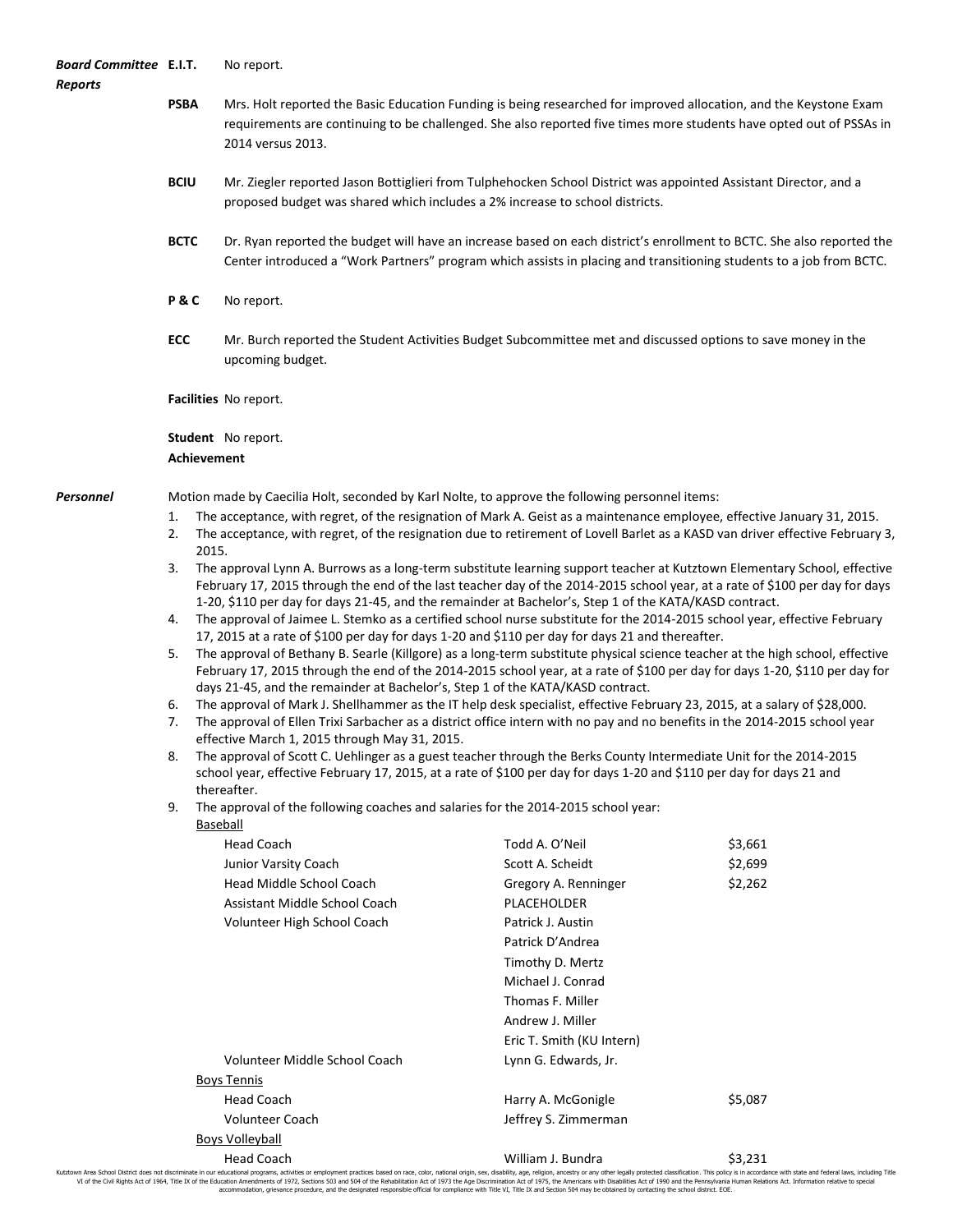| Board Committee E.I.T.<br>Reports |                                                                                                                                                                                                                                                                                                            | No report.                                                                                                                                                                                                                                                                                                                                                        |                                                                                                                  |         |  |  |
|-----------------------------------|------------------------------------------------------------------------------------------------------------------------------------------------------------------------------------------------------------------------------------------------------------------------------------------------------------|-------------------------------------------------------------------------------------------------------------------------------------------------------------------------------------------------------------------------------------------------------------------------------------------------------------------------------------------------------------------|------------------------------------------------------------------------------------------------------------------|---------|--|--|
|                                   | <b>PSBA</b>                                                                                                                                                                                                                                                                                                | Mrs. Holt reported the Basic Education Funding is being researched for improved allocation, and the Keystone Exam<br>requirements are continuing to be challenged. She also reported five times more students have opted out of PSSAs in<br>2014 versus 2013.                                                                                                     |                                                                                                                  |         |  |  |
|                                   | <b>BCIU</b>                                                                                                                                                                                                                                                                                                | proposed budget was shared which includes a 2% increase to school districts.                                                                                                                                                                                                                                                                                      | Mr. Ziegler reported Jason Bottiglieri from Tulphehocken School District was appointed Assistant Director, and a |         |  |  |
|                                   | <b>BCTC</b>                                                                                                                                                                                                                                                                                                | Dr. Ryan reported the budget will have an increase based on each district's enrollment to BCTC. She also reported the<br>Center introduced a "Work Partners" program which assists in placing and transitioning students to a job from BCTC.                                                                                                                      |                                                                                                                  |         |  |  |
|                                   | P&C                                                                                                                                                                                                                                                                                                        | No report.                                                                                                                                                                                                                                                                                                                                                        |                                                                                                                  |         |  |  |
|                                   | ECC                                                                                                                                                                                                                                                                                                        | upcoming budget.                                                                                                                                                                                                                                                                                                                                                  | Mr. Burch reported the Student Activities Budget Subcommittee met and discussed options to save money in the     |         |  |  |
|                                   |                                                                                                                                                                                                                                                                                                            | Facilities No report.                                                                                                                                                                                                                                                                                                                                             |                                                                                                                  |         |  |  |
|                                   | <b>Achievement</b>                                                                                                                                                                                                                                                                                         | <b>Student</b> No report.                                                                                                                                                                                                                                                                                                                                         |                                                                                                                  |         |  |  |
| Personnel                         | Motion made by Caecilia Holt, seconded by Karl Nolte, to approve the following personnel items:                                                                                                                                                                                                            |                                                                                                                                                                                                                                                                                                                                                                   |                                                                                                                  |         |  |  |
|                                   | 1.<br>2.                                                                                                                                                                                                                                                                                                   | The acceptance, with regret, of the resignation of Mark A. Geist as a maintenance employee, effective January 31, 2015.<br>The acceptance, with regret, of the resignation due to retirement of Lovell Barlet as a KASD van driver effective February 3,<br>2015.                                                                                                 |                                                                                                                  |         |  |  |
|                                   | 3.                                                                                                                                                                                                                                                                                                         | The approval Lynn A. Burrows as a long-term substitute learning support teacher at Kutztown Elementary School, effective<br>February 17, 2015 through the end of the last teacher day of the 2014-2015 school year, at a rate of \$100 per day for days<br>1-20, \$110 per day for days 21-45, and the remainder at Bachelor's, Step 1 of the KATA/KASD contract. |                                                                                                                  |         |  |  |
|                                   | 4.                                                                                                                                                                                                                                                                                                         | The approval of Jaimee L. Stemko as a certified school nurse substitute for the 2014-2015 school year, effective February<br>17, 2015 at a rate of \$100 per day for days 1-20 and \$110 per day for days 21 and thereafter.                                                                                                                                      |                                                                                                                  |         |  |  |
|                                   | 5.                                                                                                                                                                                                                                                                                                         | The approval of Bethany B. Searle (Killgore) as a long-term substitute physical science teacher at the high school, effective<br>February 17, 2015 through the end of the 2014-2015 school year, at a rate of \$100 per day for days 1-20, \$110 per day for<br>days 21-45, and the remainder at Bachelor's, Step 1 of the KATA/KASD contract.                    |                                                                                                                  |         |  |  |
|                                   | 6.<br>7.                                                                                                                                                                                                                                                                                                   | The approval of Mark J. Shellhammer as the IT help desk specialist, effective February 23, 2015, at a salary of \$28,000.<br>The approval of Ellen Trixi Sarbacher as a district office intern with no pay and no benefits in the 2014-2015 school year                                                                                                           |                                                                                                                  |         |  |  |
|                                   | effective March 1, 2015 through May 31, 2015.<br>The approval of Scott C. Uehlinger as a guest teacher through the Berks County Intermediate Unit for the 2014-2015<br>school year, effective February 17, 2015, at a rate of \$100 per day for days 1-20 and \$110 per day for days 21 and<br>thereafter. |                                                                                                                                                                                                                                                                                                                                                                   |                                                                                                                  |         |  |  |
|                                   | 9.                                                                                                                                                                                                                                                                                                         | The approval of the following coaches and salaries for the 2014-2015 school year:<br>Baseball                                                                                                                                                                                                                                                                     |                                                                                                                  |         |  |  |
|                                   |                                                                                                                                                                                                                                                                                                            | <b>Head Coach</b>                                                                                                                                                                                                                                                                                                                                                 | Todd A. O'Neil                                                                                                   | \$3,661 |  |  |
|                                   |                                                                                                                                                                                                                                                                                                            | Junior Varsity Coach                                                                                                                                                                                                                                                                                                                                              | Scott A. Scheidt                                                                                                 | \$2,699 |  |  |
|                                   |                                                                                                                                                                                                                                                                                                            | Head Middle School Coach                                                                                                                                                                                                                                                                                                                                          | Gregory A. Renninger                                                                                             | \$2,262 |  |  |
|                                   |                                                                                                                                                                                                                                                                                                            | Assistant Middle School Coach                                                                                                                                                                                                                                                                                                                                     | <b>PLACEHOLDER</b>                                                                                               |         |  |  |
|                                   |                                                                                                                                                                                                                                                                                                            | Volunteer High School Coach                                                                                                                                                                                                                                                                                                                                       | Patrick J. Austin                                                                                                |         |  |  |
|                                   |                                                                                                                                                                                                                                                                                                            |                                                                                                                                                                                                                                                                                                                                                                   | Patrick D'Andrea                                                                                                 |         |  |  |
|                                   |                                                                                                                                                                                                                                                                                                            |                                                                                                                                                                                                                                                                                                                                                                   | Timothy D. Mertz                                                                                                 |         |  |  |
|                                   |                                                                                                                                                                                                                                                                                                            |                                                                                                                                                                                                                                                                                                                                                                   | Michael J. Conrad                                                                                                |         |  |  |
|                                   |                                                                                                                                                                                                                                                                                                            |                                                                                                                                                                                                                                                                                                                                                                   | Thomas F. Miller                                                                                                 |         |  |  |
|                                   |                                                                                                                                                                                                                                                                                                            |                                                                                                                                                                                                                                                                                                                                                                   | Andrew J. Miller                                                                                                 |         |  |  |
|                                   |                                                                                                                                                                                                                                                                                                            |                                                                                                                                                                                                                                                                                                                                                                   | Eric T. Smith (KU Intern)                                                                                        |         |  |  |
|                                   |                                                                                                                                                                                                                                                                                                            | Volunteer Middle School Coach                                                                                                                                                                                                                                                                                                                                     | Lynn G. Edwards, Jr.                                                                                             |         |  |  |
|                                   |                                                                                                                                                                                                                                                                                                            | <b>Boys Tennis</b>                                                                                                                                                                                                                                                                                                                                                |                                                                                                                  |         |  |  |
|                                   |                                                                                                                                                                                                                                                                                                            | <b>Head Coach</b><br><b>Volunteer Coach</b>                                                                                                                                                                                                                                                                                                                       | Harry A. McGonigle<br>Jeffrey S. Zimmerman                                                                       | \$5,087 |  |  |
|                                   |                                                                                                                                                                                                                                                                                                            | <b>Boys Volleyball</b>                                                                                                                                                                                                                                                                                                                                            |                                                                                                                  |         |  |  |

Head Coach William J. Bundra \$3,231

Kutztown Area School District does not discriminate in our educational programs, activities or employment practices based on race, color, national origin, sex, disability, age, religion, ancestry or any other legally prot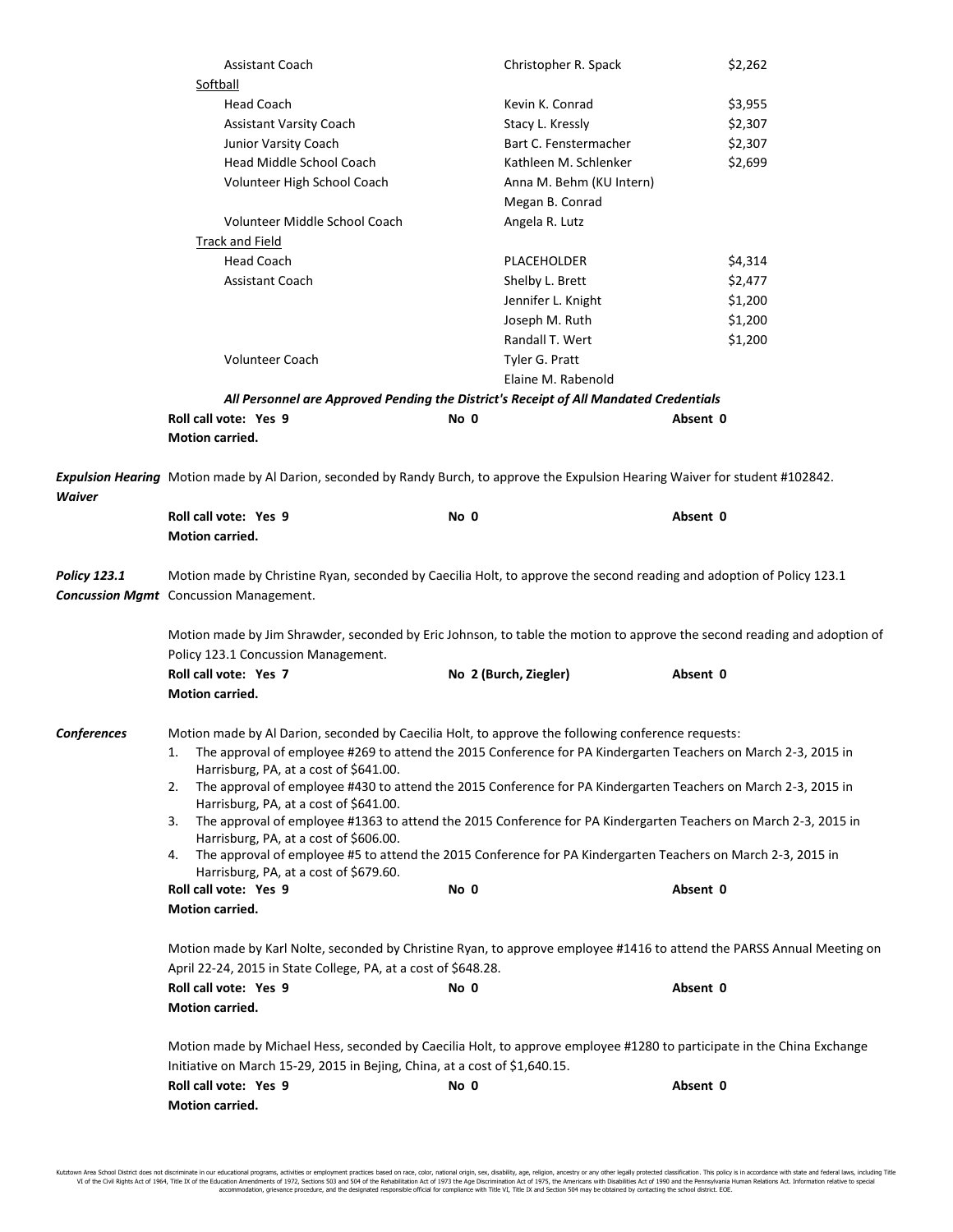|                     | <b>Assistant Coach</b>                                                                                                                                          | Christopher R. Spack     | \$2,262                                                                                                        |  |  |
|---------------------|-----------------------------------------------------------------------------------------------------------------------------------------------------------------|--------------------------|----------------------------------------------------------------------------------------------------------------|--|--|
|                     | Softball                                                                                                                                                        |                          |                                                                                                                |  |  |
|                     | <b>Head Coach</b>                                                                                                                                               | Kevin K. Conrad          | \$3,955                                                                                                        |  |  |
|                     | <b>Assistant Varsity Coach</b>                                                                                                                                  | Stacy L. Kressly         | \$2,307                                                                                                        |  |  |
|                     | Junior Varsity Coach                                                                                                                                            | Bart C. Fenstermacher    | \$2,307                                                                                                        |  |  |
|                     | Head Middle School Coach                                                                                                                                        | Kathleen M. Schlenker    | \$2,699                                                                                                        |  |  |
|                     | Volunteer High School Coach                                                                                                                                     | Anna M. Behm (KU Intern) |                                                                                                                |  |  |
|                     |                                                                                                                                                                 | Megan B. Conrad          |                                                                                                                |  |  |
|                     | Volunteer Middle School Coach                                                                                                                                   | Angela R. Lutz           |                                                                                                                |  |  |
|                     | Track and Field                                                                                                                                                 |                          |                                                                                                                |  |  |
|                     | <b>Head Coach</b>                                                                                                                                               | <b>PLACEHOLDER</b>       | \$4,314                                                                                                        |  |  |
|                     | <b>Assistant Coach</b>                                                                                                                                          | Shelby L. Brett          | \$2,477                                                                                                        |  |  |
|                     |                                                                                                                                                                 | Jennifer L. Knight       | \$1,200                                                                                                        |  |  |
|                     |                                                                                                                                                                 | Joseph M. Ruth           | \$1,200                                                                                                        |  |  |
|                     |                                                                                                                                                                 | Randall T. Wert          | \$1,200                                                                                                        |  |  |
|                     | Volunteer Coach                                                                                                                                                 | Tyler G. Pratt           |                                                                                                                |  |  |
|                     |                                                                                                                                                                 | Elaine M. Rabenold       |                                                                                                                |  |  |
|                     | All Personnel are Approved Pending the District's Receipt of All Mandated Credentials                                                                           |                          |                                                                                                                |  |  |
|                     | Roll call vote: Yes 9                                                                                                                                           | No 0                     | Absent 0                                                                                                       |  |  |
|                     | Motion carried.                                                                                                                                                 |                          |                                                                                                                |  |  |
| <b>Waiver</b>       | Expulsion Hearing Motion made by Al Darion, seconded by Randy Burch, to approve the Expulsion Hearing Waiver for student #102842.<br>Roll call vote: Yes 9      | No 0                     | Absent 0                                                                                                       |  |  |
|                     | Motion carried.                                                                                                                                                 |                          |                                                                                                                |  |  |
|                     |                                                                                                                                                                 |                          |                                                                                                                |  |  |
| <b>Policy 123.1</b> | Motion made by Christine Ryan, seconded by Caecilia Holt, to approve the second reading and adoption of Policy 123.1                                            |                          |                                                                                                                |  |  |
|                     | <b>Concussion Mgmt</b> Concussion Management.                                                                                                                   |                          |                                                                                                                |  |  |
|                     | Motion made by Jim Shrawder, seconded by Eric Johnson, to table the motion to approve the second reading and adoption of<br>Policy 123.1 Concussion Management. |                          |                                                                                                                |  |  |
|                     | Roll call vote: Yes 7                                                                                                                                           | No 2 (Burch, Ziegler)    | Absent 0                                                                                                       |  |  |
|                     | Motion carried.                                                                                                                                                 |                          |                                                                                                                |  |  |
|                     |                                                                                                                                                                 |                          |                                                                                                                |  |  |
| <b>Conferences</b>  | Motion made by Al Darion, seconded by Caecilia Holt, to approve the following conference requests:                                                              |                          |                                                                                                                |  |  |
|                     | 1.                                                                                                                                                              |                          | The approval of employee #269 to attend the 2015 Conference for PA Kindergarten Teachers on March 2-3, 2015 in |  |  |
|                     | Harrisburg, PA, at a cost of \$641.00.                                                                                                                          |                          |                                                                                                                |  |  |
|                     | The approval of employee #430 to attend the 2015 Conference for PA Kindergarten Teachers on March 2-3, 2015 in<br>2.                                            |                          |                                                                                                                |  |  |
|                     | Harrisburg, PA, at a cost of \$641.00.<br>The approval of employee #1363 to attend the 2015 Conference for PA Kindergarten Teachers on March 2-3, 2015 in<br>3. |                          |                                                                                                                |  |  |
|                     | Harrisburg, PA, at a cost of \$606.00.                                                                                                                          |                          |                                                                                                                |  |  |
|                     | The approval of employee #5 to attend the 2015 Conference for PA Kindergarten Teachers on March 2-3, 2015 in<br>4.                                              |                          |                                                                                                                |  |  |
|                     | Harrisburg, PA, at a cost of \$679.60.                                                                                                                          |                          |                                                                                                                |  |  |
|                     | Roll call vote: Yes 9                                                                                                                                           | No 0                     | Absent 0                                                                                                       |  |  |
|                     | Motion carried.                                                                                                                                                 |                          |                                                                                                                |  |  |
|                     |                                                                                                                                                                 |                          |                                                                                                                |  |  |
|                     | Motion made by Karl Nolte, seconded by Christine Ryan, to approve employee #1416 to attend the PARSS Annual Meeting on                                          |                          |                                                                                                                |  |  |
|                     | April 22-24, 2015 in State College, PA, at a cost of \$648.28.                                                                                                  |                          |                                                                                                                |  |  |
|                     | Roll call vote: Yes 9                                                                                                                                           | No 0                     | Absent 0                                                                                                       |  |  |
|                     | Motion carried.                                                                                                                                                 |                          |                                                                                                                |  |  |
|                     |                                                                                                                                                                 |                          |                                                                                                                |  |  |
|                     | Motion made by Michael Hess, seconded by Caecilia Holt, to approve employee #1280 to participate in the China Exchange                                          |                          |                                                                                                                |  |  |
|                     | Initiative on March 15-29, 2015 in Bejing, China, at a cost of \$1,640.15.                                                                                      |                          |                                                                                                                |  |  |
|                     | Roll call vote: Yes 9                                                                                                                                           | No 0                     | Absent 0                                                                                                       |  |  |
|                     | Motion carried.                                                                                                                                                 |                          |                                                                                                                |  |  |

Kutztown Area School District does not discriminate in our educational programs, activities or employment practices based on race, color, national origin, sex, disability, age, religion, ancestry or any other legally prot